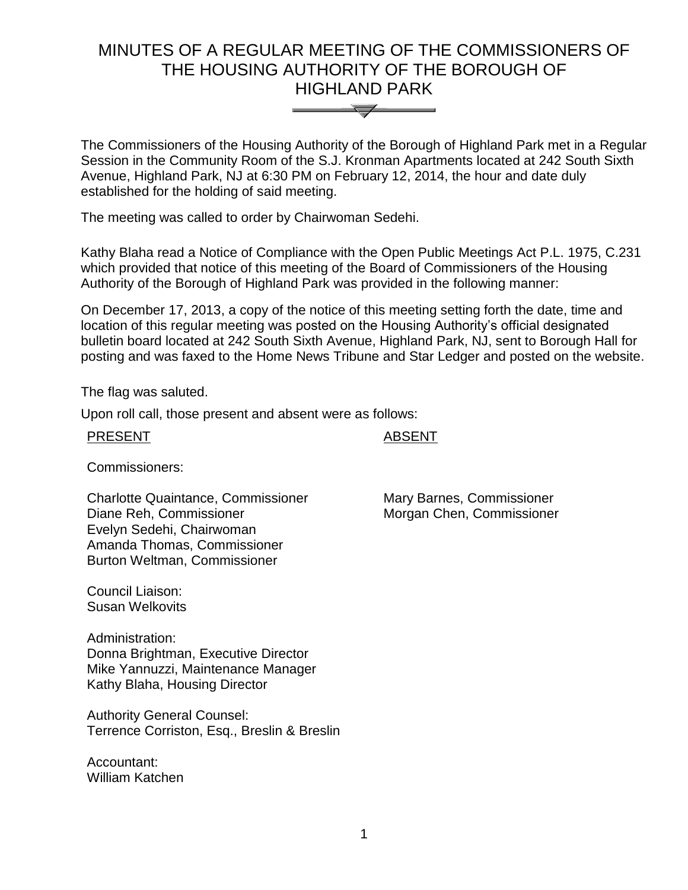# MINUTES OF A REGULAR MEETING OF THE COMMISSIONERS OF THE HOUSING AUTHORITY OF THE BOROUGH OF HIGHLAND PARK



The Commissioners of the Housing Authority of the Borough of Highland Park met in a Regular Session in the Community Room of the S.J. Kronman Apartments located at 242 South Sixth Avenue, Highland Park, NJ at 6:30 PM on February 12, 2014, the hour and date duly established for the holding of said meeting.

The meeting was called to order by Chairwoman Sedehi.

Kathy Blaha read a Notice of Compliance with the Open Public Meetings Act P.L. 1975, C.231 which provided that notice of this meeting of the Board of Commissioners of the Housing Authority of the Borough of Highland Park was provided in the following manner:

On December 17, 2013, a copy of the notice of this meeting setting forth the date, time and location of this regular meeting was posted on the Housing Authority's official designated bulletin board located at 242 South Sixth Avenue, Highland Park, NJ, sent to Borough Hall for posting and was faxed to the Home News Tribune and Star Ledger and posted on the website.

The flag was saluted.

Upon roll call, those present and absent were as follows:

PRESENT ABSENT

Commissioners:

Charlotte Quaintance, Commissioner Diane Reh, Commissioner Evelyn Sedehi, Chairwoman Amanda Thomas, Commissioner Burton Weltman, Commissioner

Council Liaison: Susan Welkovits

Administration: Donna Brightman, Executive Director Mike Yannuzzi, Maintenance Manager Kathy Blaha, Housing Director

Authority General Counsel: Terrence Corriston, Esq., Breslin & Breslin

Accountant: William Katchen Mary Barnes, Commissioner Morgan Chen, Commissioner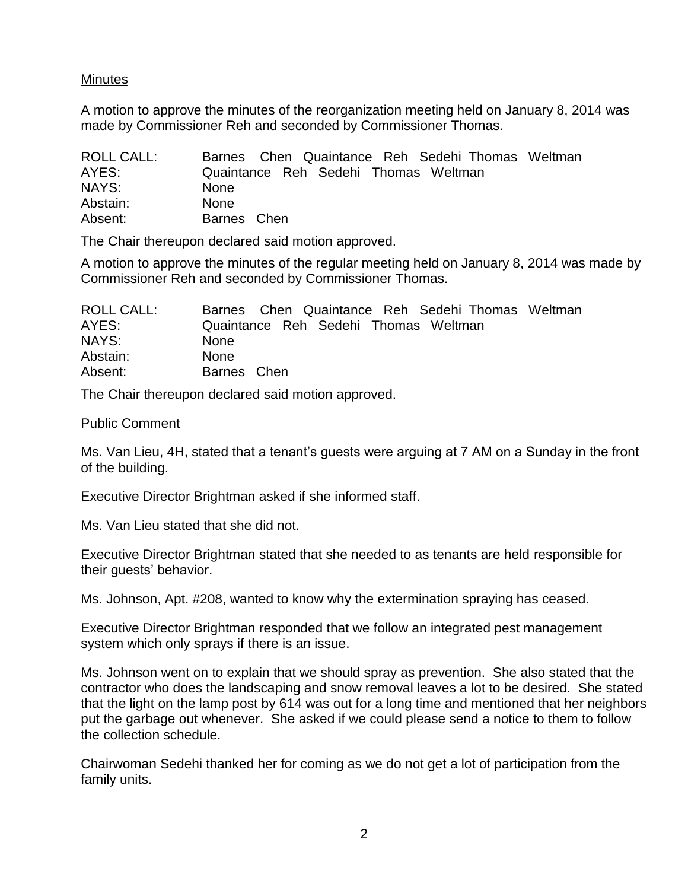# Minutes

A motion to approve the minutes of the reorganization meeting held on January 8, 2014 was made by Commissioner Reh and seconded by Commissioner Thomas.

| <b>ROLL CALL:</b> | Barnes Chen Quaintance Reh Sedehi Thomas Weltman |
|-------------------|--------------------------------------------------|
| AYES:             | Quaintance Reh Sedehi Thomas Weltman             |
| NAYS:             | <b>None</b>                                      |
| Abstain:          | <b>None</b>                                      |
| Absent:           | Barnes Chen                                      |

The Chair thereupon declared said motion approved.

A motion to approve the minutes of the regular meeting held on January 8, 2014 was made by Commissioner Reh and seconded by Commissioner Thomas.

| <b>ROLL CALL:</b> | Barnes Chen Quaintance Reh Sedehi Thomas Weltman |
|-------------------|--------------------------------------------------|
| AYES:             | Quaintance Reh Sedehi Thomas Weltman             |
| NAYS:             | <b>None</b>                                      |
| Abstain:          | <b>None</b>                                      |
| Absent:           | Barnes Chen                                      |

The Chair thereupon declared said motion approved.

#### Public Comment

Ms. Van Lieu, 4H, stated that a tenant's guests were arguing at 7 AM on a Sunday in the front of the building.

Executive Director Brightman asked if she informed staff.

Ms. Van Lieu stated that she did not.

Executive Director Brightman stated that she needed to as tenants are held responsible for their guests' behavior.

Ms. Johnson, Apt. #208, wanted to know why the extermination spraying has ceased.

Executive Director Brightman responded that we follow an integrated pest management system which only sprays if there is an issue.

Ms. Johnson went on to explain that we should spray as prevention. She also stated that the contractor who does the landscaping and snow removal leaves a lot to be desired. She stated that the light on the lamp post by 614 was out for a long time and mentioned that her neighbors put the garbage out whenever. She asked if we could please send a notice to them to follow the collection schedule.

Chairwoman Sedehi thanked her for coming as we do not get a lot of participation from the family units.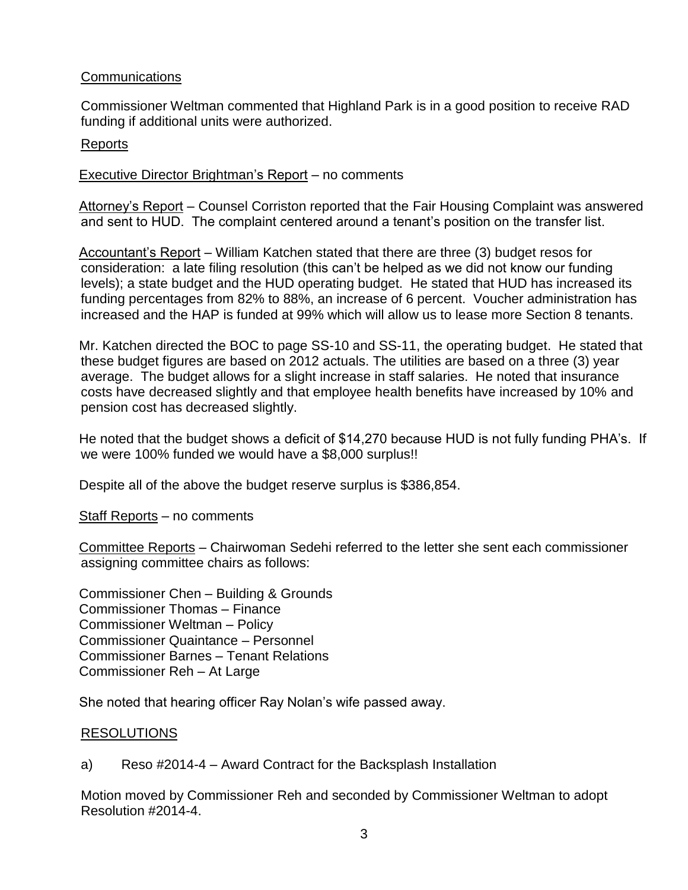# **Communications**

Commissioner Weltman commented that Highland Park is in a good position to receive RAD funding if additional units were authorized.

# Reports

# Executive Director Brightman's Report – no comments

Attorney's Report – Counsel Corriston reported that the Fair Housing Complaint was answered and sent to HUD. The complaint centered around a tenant's position on the transfer list.

Accountant's Report – William Katchen stated that there are three (3) budget resos for consideration: a late filing resolution (this can't be helped as we did not know our funding levels); a state budget and the HUD operating budget. He stated that HUD has increased its funding percentages from 82% to 88%, an increase of 6 percent. Voucher administration has increased and the HAP is funded at 99% which will allow us to lease more Section 8 tenants.

Mr. Katchen directed the BOC to page SS-10 and SS-11, the operating budget. He stated that these budget figures are based on 2012 actuals. The utilities are based on a three (3) year average. The budget allows for a slight increase in staff salaries. He noted that insurance costs have decreased slightly and that employee health benefits have increased by 10% and pension cost has decreased slightly.

He noted that the budget shows a deficit of \$14,270 because HUD is not fully funding PHA's. If we were 100% funded we would have a \$8,000 surplus!!

Despite all of the above the budget reserve surplus is \$386,854.

Staff Reports – no comments

Committee Reports – Chairwoman Sedehi referred to the letter she sent each commissioner assigning committee chairs as follows:

Commissioner Chen – Building & Grounds Commissioner Thomas – Finance Commissioner Weltman – Policy Commissioner Quaintance – Personnel Commissioner Barnes – Tenant Relations Commissioner Reh – At Large

She noted that hearing officer Ray Nolan's wife passed away.

## RESOLUTIONS

a) Reso #2014-4 – Award Contract for the Backsplash Installation

Motion moved by Commissioner Reh and seconded by Commissioner Weltman to adopt Resolution #2014-4.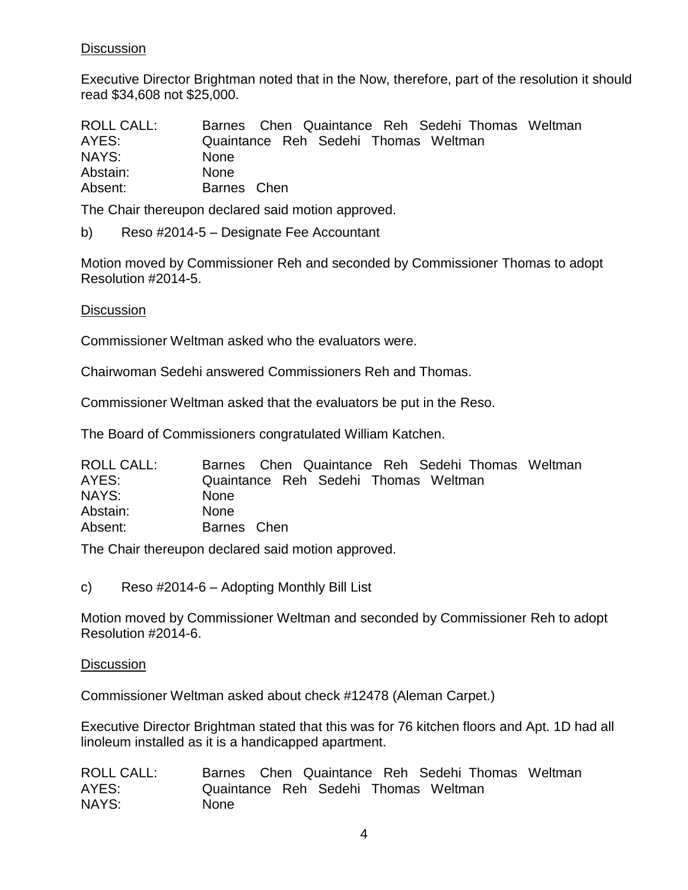# **Discussion**

Executive Director Brightman noted that in the Now, therefore, part of the resolution it should read \$34,608 not \$25,000.

| <b>ROLL CALL:</b> | Barnes Chen Quaintance Reh Sedehi Thomas Weltman |
|-------------------|--------------------------------------------------|
| AYES:             | Quaintance Reh Sedehi Thomas Weltman             |
| NAYS:             | <b>None</b>                                      |
| Abstain:          | <b>None</b>                                      |
| Absent:           | Barnes Chen                                      |

The Chair thereupon declared said motion approved.

b) Reso #2014-5 – Designate Fee Accountant

Motion moved by Commissioner Reh and seconded by Commissioner Thomas to adopt Resolution #2014-5.

**Discussion** 

Commissioner Weltman asked who the evaluators were.

Chairwoman Sedehi answered Commissioners Reh and Thomas.

Commissioner Weltman asked that the evaluators be put in the Reso.

The Board of Commissioners congratulated William Katchen.

| <b>ROLL CALL:</b> | Barnes Chen Quaintance Reh Sedehi Thomas Weltman |
|-------------------|--------------------------------------------------|
| AYES:             | Quaintance Reh Sedehi Thomas Weltman             |
| NAYS:             | <b>None</b>                                      |
| Abstain:          | <b>None</b>                                      |
| Absent:           | Barnes Chen                                      |

The Chair thereupon declared said motion approved.

c) Reso #2014-6 – Adopting Monthly Bill List

Motion moved by Commissioner Weltman and seconded by Commissioner Reh to adopt Resolution #2014-6.

#### **Discussion**

Commissioner Weltman asked about check #12478 (Aleman Carpet.)

Executive Director Brightman stated that this was for 76 kitchen floors and Apt. 1D had all linoleum installed as it is a handicapped apartment.

| <b>ROLL CALL:</b> |             | Barnes Chen Quaintance Reh Sedehi Thomas Weltman |  |  |
|-------------------|-------------|--------------------------------------------------|--|--|
| AYES:             |             | Quaintance Reh Sedehi Thomas Weltman             |  |  |
| NAYS:             | <b>None</b> |                                                  |  |  |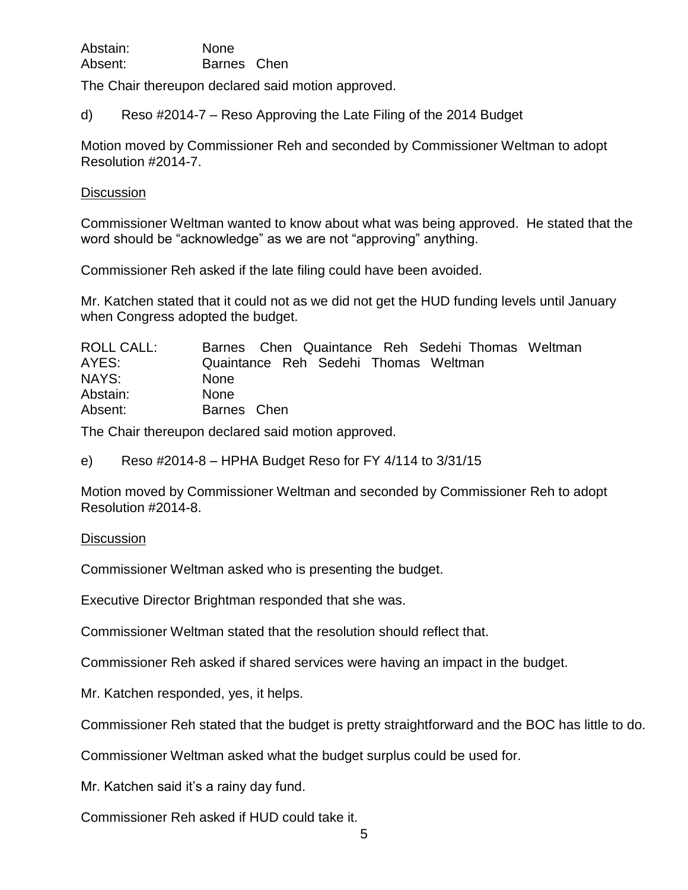| Abstain: | None        |  |
|----------|-------------|--|
| Absent:  | Barnes Chen |  |

The Chair thereupon declared said motion approved.

d) Reso #2014-7 – Reso Approving the Late Filing of the 2014 Budget

Motion moved by Commissioner Reh and seconded by Commissioner Weltman to adopt Resolution #2014-7.

#### **Discussion**

Commissioner Weltman wanted to know about what was being approved. He stated that the word should be "acknowledge" as we are not "approving" anything.

Commissioner Reh asked if the late filing could have been avoided.

Mr. Katchen stated that it could not as we did not get the HUD funding levels until January when Congress adopted the budget.

| <b>ROLL CALL:</b> | Barnes Chen Quaintance Reh Sedehi Thomas Weltman |
|-------------------|--------------------------------------------------|
| AYES:             | Quaintance Reh Sedehi Thomas Weltman             |
| NAYS:             | <b>None</b>                                      |
| Abstain:          | <b>None</b>                                      |
| Absent:           | Barnes Chen                                      |

The Chair thereupon declared said motion approved.

e) Reso #2014-8 – HPHA Budget Reso for FY 4/114 to 3/31/15

Motion moved by Commissioner Weltman and seconded by Commissioner Reh to adopt Resolution #2014-8.

## **Discussion**

Commissioner Weltman asked who is presenting the budget.

Executive Director Brightman responded that she was.

Commissioner Weltman stated that the resolution should reflect that.

Commissioner Reh asked if shared services were having an impact in the budget.

Mr. Katchen responded, yes, it helps.

Commissioner Reh stated that the budget is pretty straightforward and the BOC has little to do.

Commissioner Weltman asked what the budget surplus could be used for.

Mr. Katchen said it's a rainy day fund.

Commissioner Reh asked if HUD could take it.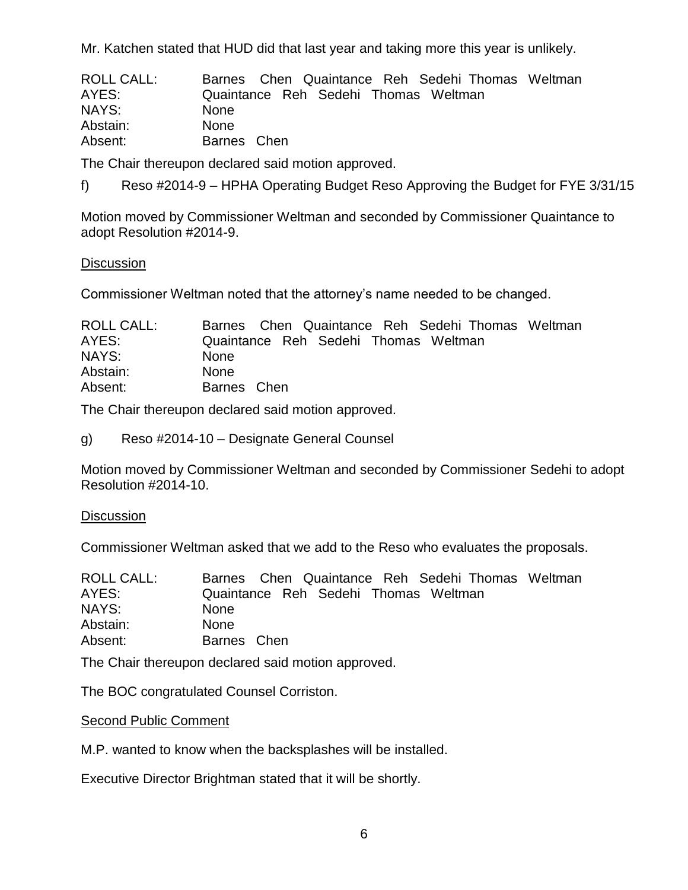Mr. Katchen stated that HUD did that last year and taking more this year is unlikely.

| <b>ROLL CALL:</b> | Barnes Chen Quaintance Reh Sedehi Thomas Weltman |
|-------------------|--------------------------------------------------|
| AYES:             | Quaintance Reh Sedehi Thomas Weltman             |
| NAYS:             | <b>None</b>                                      |
| Abstain:          | <b>None</b>                                      |
| Absent:           | Barnes Chen                                      |

The Chair thereupon declared said motion approved.

f) Reso #2014-9 – HPHA Operating Budget Reso Approving the Budget for FYE 3/31/15

Motion moved by Commissioner Weltman and seconded by Commissioner Quaintance to adopt Resolution #2014-9.

#### **Discussion**

Commissioner Weltman noted that the attorney's name needed to be changed.

| ROLL CALL: | Barnes Chen Quaintance Reh Sedehi Thomas Weltman |
|------------|--------------------------------------------------|
| AYES:      | Quaintance Reh Sedehi Thomas Weltman             |
| NAYS:      | <b>None</b>                                      |
| Abstain:   | <b>None</b>                                      |
| Absent:    | Barnes Chen                                      |

The Chair thereupon declared said motion approved.

g) Reso #2014-10 – Designate General Counsel

Motion moved by Commissioner Weltman and seconded by Commissioner Sedehi to adopt Resolution #2014-10.

#### **Discussion**

Commissioner Weltman asked that we add to the Reso who evaluates the proposals.

| <b>ROLL CALL:</b> | Barnes Chen Quaintance Reh Sedehi Thomas Weltman |
|-------------------|--------------------------------------------------|
| AYES:             | Quaintance Reh Sedehi Thomas Weltman             |
| NAYS:             | <b>None</b>                                      |
| Abstain:          | <b>None</b>                                      |
| Absent:           | Barnes Chen                                      |

The Chair thereupon declared said motion approved.

The BOC congratulated Counsel Corriston.

Second Public Comment

M.P. wanted to know when the backsplashes will be installed.

Executive Director Brightman stated that it will be shortly.